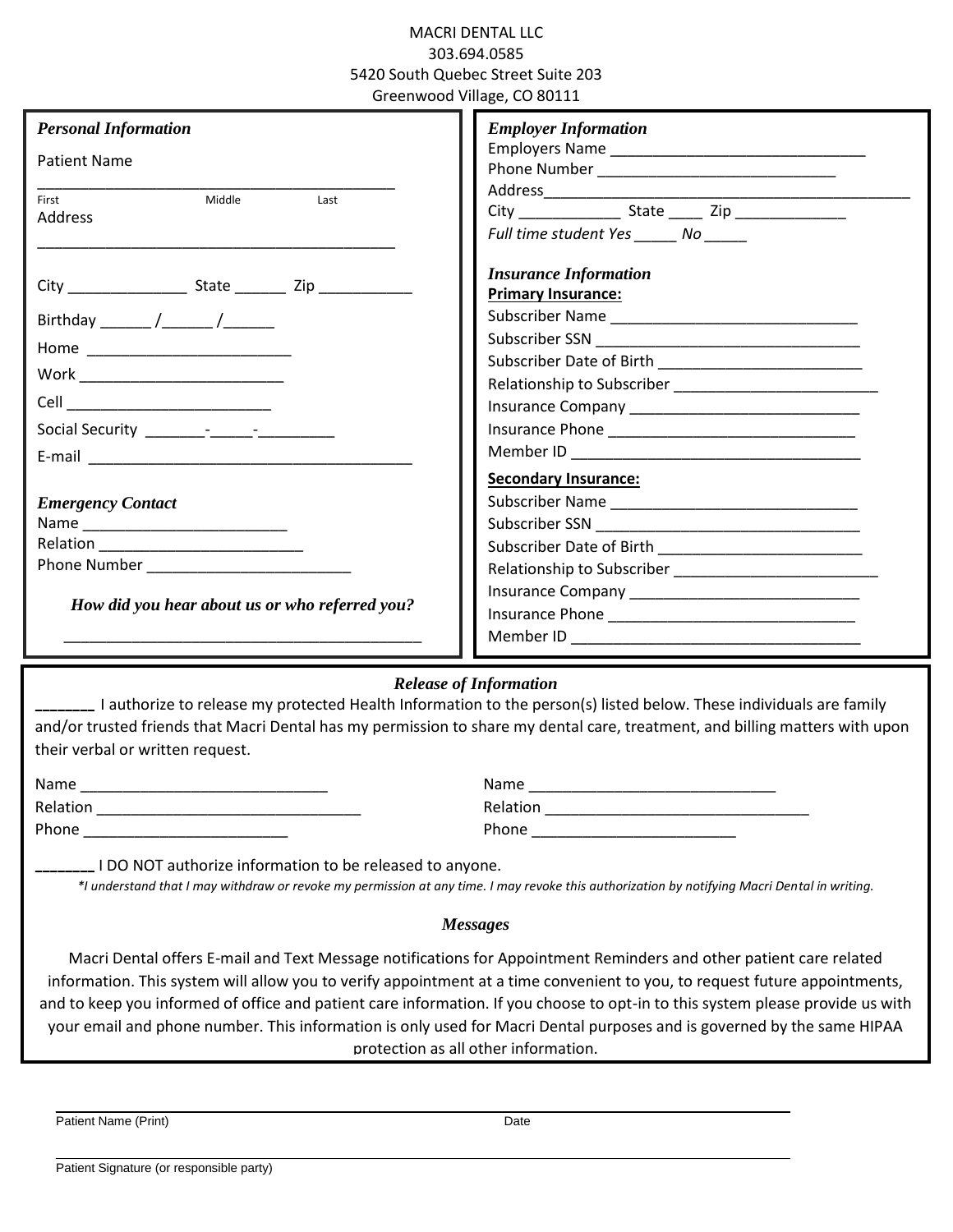### MACRI DENTAL LLC 303.694.0585 5420 South Quebec Street Suite 203 Greenwood Village, CO 80111

| <b>Personal Information</b>                    | <b>Employer Information</b>  |
|------------------------------------------------|------------------------------|
| <b>Patient Name</b>                            |                              |
|                                                |                              |
| First<br>Middle<br>Last<br>Address             |                              |
|                                                | Full time student Yes No     |
|                                                | <b>Insurance Information</b> |
|                                                | <b>Primary Insurance:</b>    |
| Birthday ______ /______ /_______               |                              |
| Home ___________________________               |                              |
|                                                |                              |
| Work ____________________________              |                              |
|                                                |                              |
|                                                |                              |
|                                                |                              |
|                                                | <b>Secondary Insurance:</b>  |
| <b>Emergency Contact</b>                       |                              |
|                                                |                              |
|                                                |                              |
|                                                |                              |
|                                                |                              |
| How did you hear about us or who referred you? |                              |
|                                                |                              |

# *Release of Information*

\_\_\_\_\_\_\_\_ I authorize to release my protected Health Information to the person(s) listed below. These individuals are family and/or trusted friends that Macri Dental has my permission to share my dental care, treatment, and billing matters with upon their verbal or written request.

| Name     | Name     |
|----------|----------|
| Relation | Relation |
| Phone    | Phone    |

 $\_$  ,  $\_$  ,  $\_$  ,  $\_$  ,  $\_$  ,  $\_$  ,  $\_$  ,  $\_$  ,  $\_$  ,  $\_$  ,  $\_$  ,  $\_$  ,  $\_$  ,  $\_$  ,  $\_$  ,  $\_$  ,  $\_$  ,  $\_$  ,  $\_$  ,  $\_$  ,  $\_$  ,  $\_$  ,  $\_$  ,  $\_$  ,  $\_$  ,  $\_$  ,  $\_$  ,  $\_$  ,  $\_$  ,  $\_$  ,  $\_$  ,  $\_$  ,  $\_$  ,  $\_$  ,  $\_$  ,  $\_$  ,  $\_$  ,

 $\_$  ,  $\_$  ,  $\_$  ,  $\_$  ,  $\_$  ,  $\_$  ,  $\_$  ,  $\_$  ,  $\_$  ,  $\_$  ,  $\_$  ,  $\_$  ,  $\_$  ,  $\_$  ,  $\_$  ,  $\_$  ,  $\_$  ,  $\_$  ,  $\_$  ,  $\_$  ,  $\_$  ,  $\_$  ,  $\_$  ,  $\_$  ,  $\_$  ,  $\_$  ,  $\_$  ,  $\_$  ,  $\_$  ,  $\_$  ,  $\_$  ,  $\_$  ,  $\_$  ,  $\_$  ,  $\_$  ,  $\_$  ,  $\_$  ,

\_\_\_\_\_\_\_\_ I DO NOT authorize information to be released to anyone.

*\*I understand that I may withdraw or revoke my permission at any time. I may revoke this authorization by notifying Macri Dental in writing.*

#### *Messages*

Macri Dental offers E-mail and Text Message notifications for Appointment Reminders and other patient care related information. This system will allow you to verify appointment at a time convenient to you, to request future appointments, and to keep you informed of office and patient care information. If you choose to opt-in to this system please provide us with your email and phone number. This information is only used for Macri Dental purposes and is governed by the same HIPAA protection as all other information.

Patient Name (Print) Date

Patient Signature (or responsible party)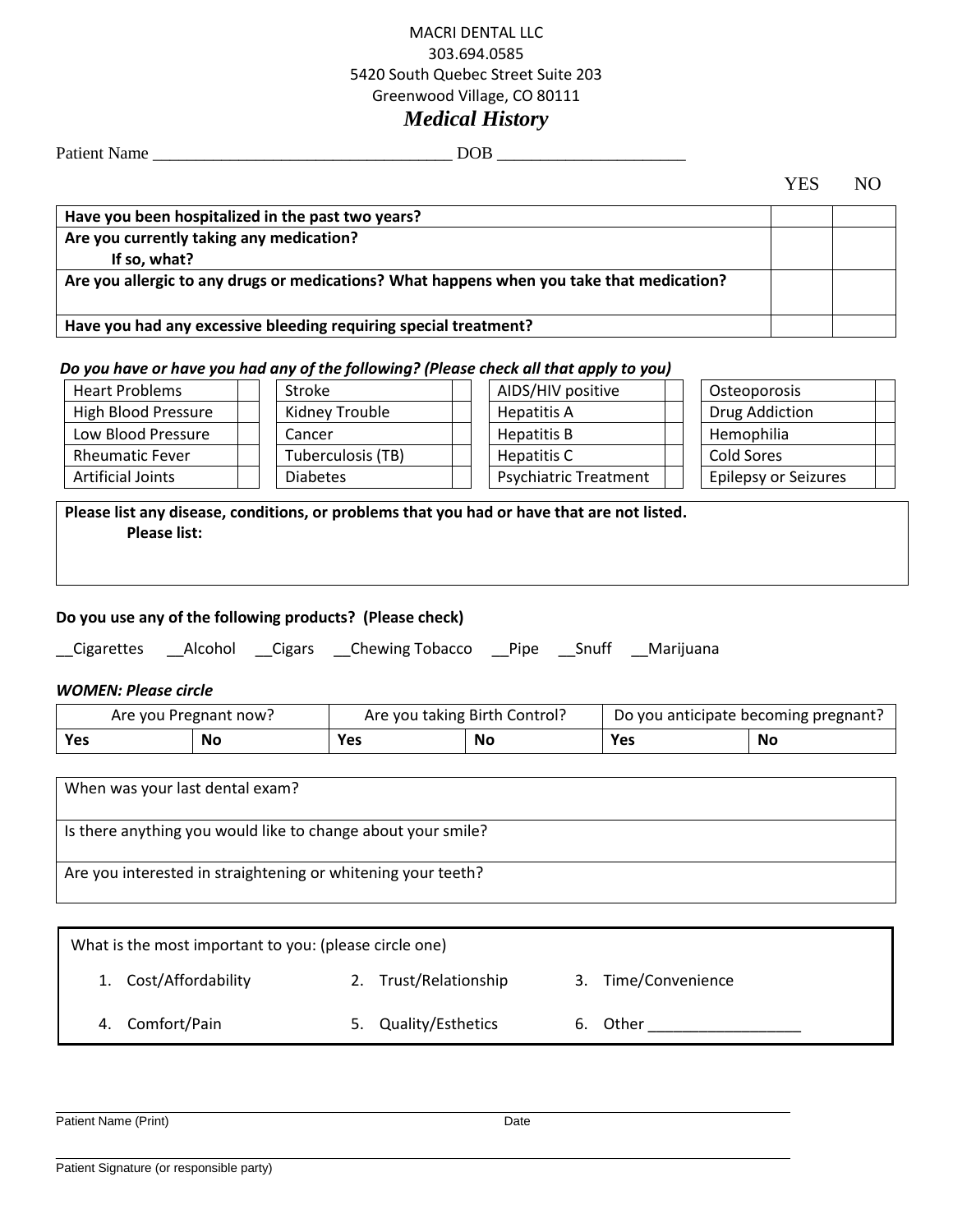## MACRI DENTAL LLC 303.694.0585 5420 South Quebec Street Suite 203 Greenwood Village, CO 80111 *Medical History*

Patient Name \_\_\_\_\_\_\_\_\_\_\_\_\_\_\_\_\_\_\_\_\_\_\_\_\_\_\_\_\_\_\_\_\_\_\_ DOB \_\_\_\_\_\_\_\_\_\_\_\_\_\_\_\_\_\_\_\_\_\_

YES NO

| Have you been hospitalized in the past two years?                                         |  |
|-------------------------------------------------------------------------------------------|--|
| Are you currently taking any medication?                                                  |  |
| If so, what?                                                                              |  |
| Are you allergic to any drugs or medications? What happens when you take that medication? |  |
|                                                                                           |  |
| Have you had any excessive bleeding requiring special treatment?                          |  |

#### *Do you have or have you had any of the following? (Please check all that apply to you)*

| <b>Heart Problems</b>    | Stroke            | AIDS/HIV positive            | Osteoporosis         |  |
|--------------------------|-------------------|------------------------------|----------------------|--|
| High Blood Pressure      | Kidney Trouble    | Hepatitis A                  | Drug Addiction       |  |
| Low Blood Pressure       | Cancer            | <b>Hepatitis B</b>           | Hemophilia           |  |
| <b>Rheumatic Fever</b>   | Tuberculosis (TB) | Hepatitis C                  | Cold Sores           |  |
| <b>Artificial Joints</b> | <b>Diabetes</b>   | <b>Psychiatric Treatment</b> | Epilepsy or Seizures |  |
|                          |                   |                              |                      |  |

## **Please list any disease, conditions, or problems that you had or have that are not listed. Please list:**

#### **Do you use any of the following products? (Please check)**

| __Cigarettes | Alcohol | Cigars | Chewing Tobacco | <b>Pipe</b> | Snuff | Marijuana |
|--------------|---------|--------|-----------------|-------------|-------|-----------|
|              |         |        |                 |             |       |           |

#### *WOMEN: Please circle*

|            | Are you Pregnant now? | Are you taking Birth Control? |    | Do you anticipate becoming pregnant? |    |  |
|------------|-----------------------|-------------------------------|----|--------------------------------------|----|--|
| <b>Yes</b> | Nc                    | Yes                           | No | Yes                                  | No |  |

| When was your last dental exam?                              |
|--------------------------------------------------------------|
| Is there anything you would like to change about your smile? |
| Are you interested in straightening or whitening your teeth? |

| What is the most important to you: (please circle one) |                          |                        |
|--------------------------------------------------------|--------------------------|------------------------|
| 1. Cost/Affordability                                  | Trust/Relationship<br>2. | Time/Convenience<br>3. |
| 4. Comfort/Pain                                        | Quality/Esthetics<br>5.  | 6. Other               |
|                                                        |                          |                        |

 $\_$  ,  $\_$  ,  $\_$  ,  $\_$  ,  $\_$  ,  $\_$  ,  $\_$  ,  $\_$  ,  $\_$  ,  $\_$  ,  $\_$  ,  $\_$  ,  $\_$  ,  $\_$  ,  $\_$  ,  $\_$  ,  $\_$  ,  $\_$  ,  $\_$  ,  $\_$  ,  $\_$  ,  $\_$  ,  $\_$  ,  $\_$  ,  $\_$  ,  $\_$  ,  $\_$  ,  $\_$  ,  $\_$  ,  $\_$  ,  $\_$  ,  $\_$  ,  $\_$  ,  $\_$  ,  $\_$  ,  $\_$  ,  $\_$  ,

 $\_$  ,  $\_$  ,  $\_$  ,  $\_$  ,  $\_$  ,  $\_$  ,  $\_$  ,  $\_$  ,  $\_$  ,  $\_$  ,  $\_$  ,  $\_$  ,  $\_$  ,  $\_$  ,  $\_$  ,  $\_$  ,  $\_$  ,  $\_$  ,  $\_$  ,  $\_$  ,  $\_$  ,  $\_$  ,  $\_$  ,  $\_$  ,  $\_$  ,  $\_$  ,  $\_$  ,  $\_$  ,  $\_$  ,  $\_$  ,  $\_$  ,  $\_$  ,  $\_$  ,  $\_$  ,  $\_$  ,  $\_$  ,  $\_$  ,

Patient Name (Print) Date